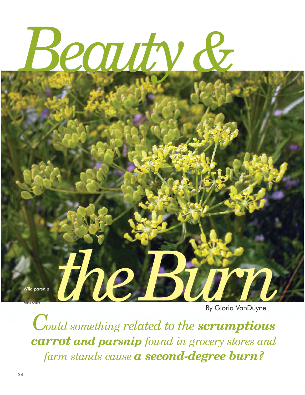

Wild parsnip

Frank Knight

*the Burn*  By Gloria VanDuyne

 *carrot and parsnip found in grocery stores and Could something related to the scrumptious farm stands cause a second-degree burn?*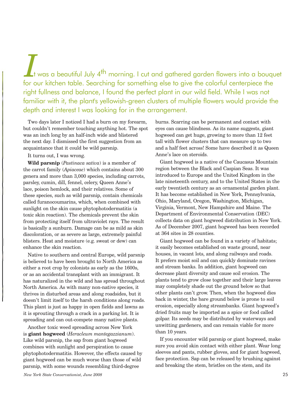*I* t was a beautiful July 4th morning. I cut and gathered garden flowers into a bouquet for our kitchen table. Searching for something else to give the colorful centerpiece the right fullness and balance, I found the perfect plant in our wild field. While I was not familiar with it, the plant's yellowish-green clusters of multiple flowers would provide the depth and interest I was looking for in the arrangement.

Two days later I noticed I had a burn on my forearm, but couldn't remember touching anything hot. The spot was an inch long by an half-inch wide and blistered the next day. I dismissed the first suggestion from an acquaintance that it could be wild parsnip.

## It turns out, I was wrong.

**Wild parsnip** (*Pastinaca sativa*) is a member of the carrot family (*Apiaceae*) which contains about 300 genera and more than 3,000 species, including carrots, parsley, cumin, dill, fennel, celery, Queen Anne's lace, poison hemlock, and their relatives. Some of these species, such as wild parsnip, contain chemicals called furanocoumarins, which, when combined with sunlight on the skin cause phytophotodermatitis (a toxic skin reaction). The chemicals prevent the skin from protecting itself from ultraviolet rays. The result is basically a sunburn. Damage can be as mild as skin discoloration, or as severe as large, extremely painful blisters. Heat and moisture (e.g. sweat or dew) can enhance the skin reaction.

Native to southern and central Europe, wild parsnip is believed to have been brought to North America as either a root crop by colonists as early as the 1600s, or as an accidental transplant with an immigrant. It has naturalized in the wild and has spread throughout North America. As with many non-native species, it thrives in disturbed areas and along roadsides, but it doesn't limit itself to the harsh conditions along roads. This plant is just as happy in open fields and lawns as it is sprouting through a crack in a parking lot. It is spreading and can out-compete many native plants.

Another toxic weed spreading across New York is **giant hogweed** (*Heracleum mantegazzianum*). Like wild parsnip, the sap from giant hogweed combines with sunlight and perspiration to cause phytophotodermatitis. However, the effects caused by giant hogweed can be much worse than those of wild parsnip, with some wounds resembling third-degree

burns. Scarring can be permanent and contact with eyes can cause blindness. As its name suggests, giant hogweed can get huge, growing to more than 12 feet tall with flower clusters that can measure up to two and a half feet across! Some have described it as Queen Anne's lace on steroids.

Giant hogweed is a native of the Caucasus Mountain region between the Black and Caspian Seas. It was introduced to Europe and the United Kingdom in the late nineteenth century, and to the United States in the early twentieth century as an ornamental garden plant. It has become established in New York, Pennsylvania, Ohio, Maryland, Oregon, Washington, Michigan, Virginia, Vermont, New Hampshire and Maine. The Department of Environmental Conservation (DEC) collects data on giant hogweed distribution in New York. As of December 2007, giant hogweed has been recorded at 364 sites in 28 counties.

Giant hogweed can be found in a variety of habitats; it easily becomes established on waste ground, near houses, in vacant lots, and along railways and roads. It prefers moist soil and can quickly dominate ravines and stream banks. In addition, giant hogweed can decrease plant diversity and cause soil erosion. The plants tend to grow close together and their large leaves may completely shade out the ground below so that other plants can't grow. Then, when the hogweed dies back in winter, the bare ground below is prone to soil erosion, especially along streambanks. Giant hogweed's dried fruits may be imported as a spice or food called golpar. Its seeds may be distributed by waterways and unwitting gardeners, and can remain viable for more than 10 years.

If you encounter wild parsnip or giant hogweed, make sure you avoid skin contact with either plant. Wear long sleeves and pants, rubber gloves, and for giant hogweed, face protection. Sap can be released by brushing against and breaking the stem, bristles on the stem, and its